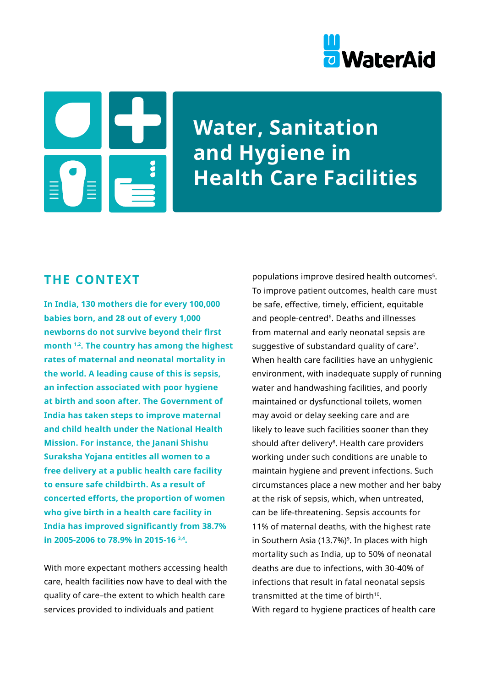



**Water, Sanitation and Hygiene in Health Care Facilities**

## **THE CONTEXT**

**In India, 130 mothers die for every 100,000 babies born, and 28 out of every 1,000 newborns do not survive beyond their first month 1,2. The country has among the highest rates of maternal and neonatal mortality in the world. A leading cause of this is sepsis, an infection associated with poor hygiene at birth and soon after. The Government of India has taken steps to improve maternal and child health under the National Health Mission. For instance, the Janani Shishu Suraksha Yojana entitles all women to a free delivery at a public health care facility to ensure safe childbirth. As a result of concerted efforts, the proportion of women who give birth in a health care facility in India has improved significantly from 38.7% in 2005-2006 to 78.9% in 2015-16 3,4.** 

With more expectant mothers accessing health care, health facilities now have to deal with the quality of care–the extent to which health care services provided to individuals and patient

populations improve desired health outcomes<sup>5</sup>. To improve patient outcomes, health care must be safe, effective, timely, efficient, equitable and people-centred<sup>6</sup>. Deaths and illnesses from maternal and early neonatal sepsis are suggestive of substandard quality of care<sup>7</sup>. When health care facilities have an unhygienic environment, with inadequate supply of running water and handwashing facilities, and poorly maintained or dysfunctional toilets, women may avoid or delay seeking care and are likely to leave such facilities sooner than they should after delivery<sup>8</sup>. Health care providers working under such conditions are unable to maintain hygiene and prevent infections. Such circumstances place a new mother and her baby at the risk of sepsis, which, when untreated, can be life-threatening. Sepsis accounts for 11% of maternal deaths, with the highest rate in Southern Asia (13.7%)<sup>9</sup>. In places with high mortality such as India, up to 50% of neonatal deaths are due to infections, with 30-40% of infections that result in fatal neonatal sepsis transmitted at the time of birth<sup>10</sup>. With regard to hygiene practices of health care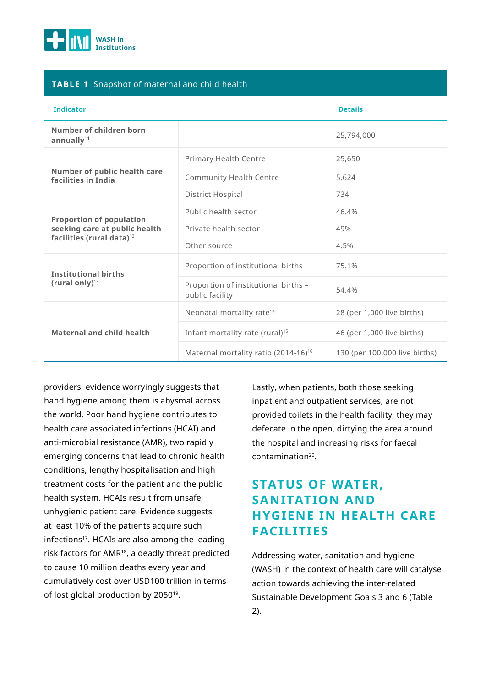

### **TABLE 1** Snapshot of maternal and child health

| <b>Indicator</b>                                                                                          |                                                         | <b>Details</b>                |
|-----------------------------------------------------------------------------------------------------------|---------------------------------------------------------|-------------------------------|
| Number of children born<br>annually <sup>11</sup>                                                         |                                                         | 25,794,000                    |
|                                                                                                           | Primary Health Centre                                   | 25,650                        |
| Number of public health care<br>facilities in India                                                       | <b>Community Health Centre</b>                          | 5,624                         |
|                                                                                                           | <b>District Hospital</b>                                | 734                           |
| <b>Proportion of population</b><br>seeking care at public health<br>facilities (rural data) <sup>12</sup> | Public health sector                                    | 46.4%                         |
|                                                                                                           | Private health sector                                   | 49%                           |
|                                                                                                           | Other source                                            | 4.5%                          |
| <b>Institutional births</b><br>(rural only) $13$                                                          | Proportion of institutional births                      | 75.1%                         |
|                                                                                                           | Proportion of institutional births -<br>public facility | 54.4%                         |
| <b>Maternal and child health</b>                                                                          | Neonatal mortality rate <sup>14</sup>                   | 28 (per 1,000 live births)    |
|                                                                                                           | Infant mortality rate (rural) <sup>15</sup>             | 46 (per 1,000 live births)    |
|                                                                                                           | Maternal mortality ratio (2014-16) <sup>16</sup>        | 130 (per 100,000 live births) |

providers, evidence worryingly suggests that hand hygiene among them is abysmal across the world. Poor hand hygiene contributes to health care associated infections (HCAI) and anti-microbial resistance (AMR), two rapidly emerging concerns that lead to chronic health conditions, lengthy hospitalisation and high treatment costs for the patient and the public health system. HCAIs result from unsafe, unhygienic patient care. Evidence suggests at least 10% of the patients acquire such infections<sup>17</sup>. HCAIs are also among the leading risk factors for AMR18, a deadly threat predicted to cause 10 million deaths every year and cumulatively cost over USD100 trillion in terms of lost global production by 2050<sup>19</sup>.

Lastly, when patients, both those seeking inpatient and outpatient services, are not provided toilets in the health facility, they may defecate in the open, dirtying the area around the hospital and increasing risks for faecal contamination20.

# **STATUS OF WATER, SANITATION AND HYGIENE IN HEALTH CARE FACILITIES**

Addressing water, sanitation and hygiene (WASH) in the context of health care will catalyse action towards achieving the inter-related Sustainable Development Goals 3 and 6 (Table 2).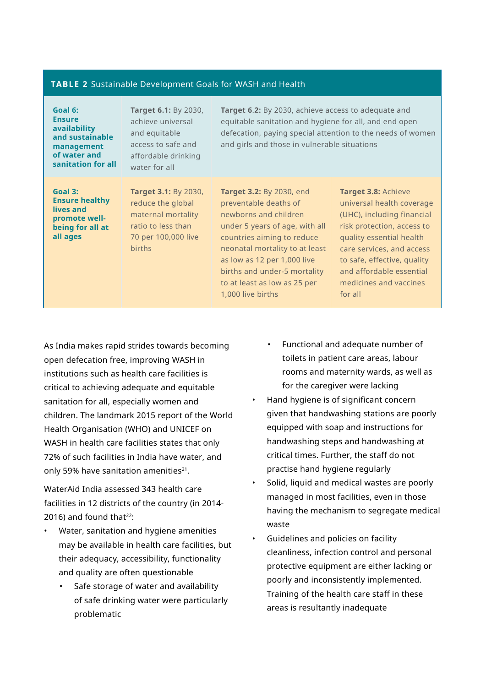#### **TABLE 2** Sustainable Development Goals for WASH and Health

| Goal 6:<br><b>Ensure</b><br>availability<br>and sustainable<br>management<br>of water and<br>sanitation for all | Target 6.1: By 2030,<br>achieve universal<br>and equitable<br>access to safe and<br>affordable drinking<br>water for all             | Target 6.2: By 2030, achieve access to adequate and<br>equitable sanitation and hygiene for all, and end open<br>defecation, paying special attention to the needs of women<br>and girls and those in vulnerable situations                                                                      |                                                                                                                                                                                                                                                                              |
|-----------------------------------------------------------------------------------------------------------------|--------------------------------------------------------------------------------------------------------------------------------------|--------------------------------------------------------------------------------------------------------------------------------------------------------------------------------------------------------------------------------------------------------------------------------------------------|------------------------------------------------------------------------------------------------------------------------------------------------------------------------------------------------------------------------------------------------------------------------------|
| Goal 3:<br><b>Ensure healthy</b><br>lives and<br>promote well-<br>being for all at<br>all ages                  | <b>Target 3.1: By 2030,</b><br>reduce the global<br>maternal mortality<br>ratio to less than<br>70 per 100,000 live<br><b>births</b> | Target 3.2: By 2030, end<br>preventable deaths of<br>newborns and children<br>under 5 years of age, with all<br>countries aiming to reduce<br>neonatal mortality to at least<br>as low as 12 per 1,000 live<br>births and under-5 mortality<br>to at least as low as 25 per<br>1,000 live births | <b>Target 3.8: Achieve</b><br>universal health coverage<br>(UHC), including financial<br>risk protection, access to<br>quality essential health<br>care services, and access<br>to safe, effective, quality<br>and affordable essential<br>medicines and vaccines<br>for all |

As India makes rapid strides towards becoming open defecation free, improving WASH in institutions such as health care facilities is critical to achieving adequate and equitable sanitation for all, especially women and children. The landmark 2015 report of the World Health Organisation (WHO) and UNICEF on WASH in health care facilities states that only 72% of such facilities in India have water, and only 59% have sanitation amenities $21$ .

WaterAid India assessed 343 health care facilities in 12 districts of the country (in 2014- 2016) and found that $22$ :

- Water, sanitation and hygiene amenities may be available in health care facilities, but their adequacy, accessibility, functionality and quality are often questionable
	- Safe storage of water and availability of safe drinking water were particularly problematic
- Functional and adequate number of toilets in patient care areas, labour rooms and maternity wards, as well as for the caregiver were lacking
- Hand hygiene is of significant concern given that handwashing stations are poorly equipped with soap and instructions for handwashing steps and handwashing at critical times. Further, the staff do not practise hand hygiene regularly
- Solid, liquid and medical wastes are poorly managed in most facilities, even in those having the mechanism to segregate medical waste
- Guidelines and policies on facility cleanliness, infection control and personal protective equipment are either lacking or poorly and inconsistently implemented. Training of the health care staff in these areas is resultantly inadequate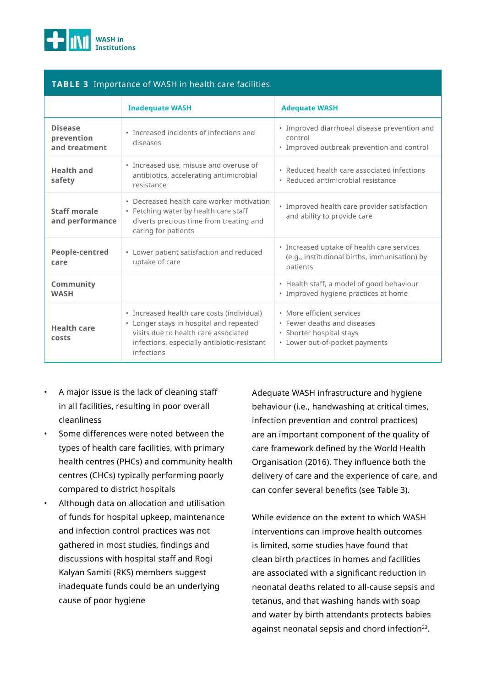

#### **TABLE 3** Importance of WASH in health care facilities

|                                               | <b>Inadequate WASH</b>                                                                                                                                                                     | <b>Adequate WASH</b>                                                                                                   |
|-----------------------------------------------|--------------------------------------------------------------------------------------------------------------------------------------------------------------------------------------------|------------------------------------------------------------------------------------------------------------------------|
| <b>Disease</b><br>prevention<br>and treatment | • Increased incidents of infections and<br>diseases                                                                                                                                        | • Improved diarrhoeal disease prevention and<br>control<br>• Improved outbreak prevention and control                  |
| <b>Health and</b><br>safety                   | · Increased use, misuse and overuse of<br>antibiotics, accelerating antimicrobial<br>resistance                                                                                            | • Reduced health care associated infections<br>• Reduced antimicrobial resistance                                      |
| Staff morale<br>and performance               | • Decreased health care worker motivation<br>• Fetching water by health care staff<br>diverts precious time from treating and<br>caring for patients                                       | · Improved health care provider satisfaction<br>and ability to provide care                                            |
| People-centred<br>care                        | • Lower patient satisfaction and reduced<br>uptake of care                                                                                                                                 | • Increased uptake of health care services<br>(e.g., institutional births, immunisation) by<br>patients                |
| Community<br><b>WASH</b>                      |                                                                                                                                                                                            | • Health staff, a model of good behaviour<br>• Improved hygiene practices at home                                      |
| <b>Health care</b><br>costs                   | • Increased health care costs (individual)<br>• Longer stays in hospital and repeated<br>visits due to health care associated<br>infections, especially antibiotic-resistant<br>infections | • More efficient services<br>• Fewer deaths and diseases<br>• Shorter hospital stays<br>• Lower out-of-pocket payments |

- A major issue is the lack of cleaning staff in all facilities, resulting in poor overall cleanliness
- Some differences were noted between the types of health care facilities, with primary health centres (PHCs) and community health centres (CHCs) typically performing poorly compared to district hospitals
- Although data on allocation and utilisation of funds for hospital upkeep, maintenance and infection control practices was not gathered in most studies, findings and discussions with hospital staff and Rogi Kalyan Samiti (RKS) members suggest inadequate funds could be an underlying cause of poor hygiene

Adequate WASH infrastructure and hygiene behaviour (i.e., handwashing at critical times, infection prevention and control practices) are an important component of the quality of care framework defined by the World Health Organisation (2016). They influence both the delivery of care and the experience of care, and can confer several benefits (see Table 3).

While evidence on the extent to which WASH interventions can improve health outcomes is limited, some studies have found that clean birth practices in homes and facilities are associated with a significant reduction in neonatal deaths related to all-cause sepsis and tetanus, and that washing hands with soap and water by birth attendants protects babies against neonatal sepsis and chord infection<sup>23</sup>.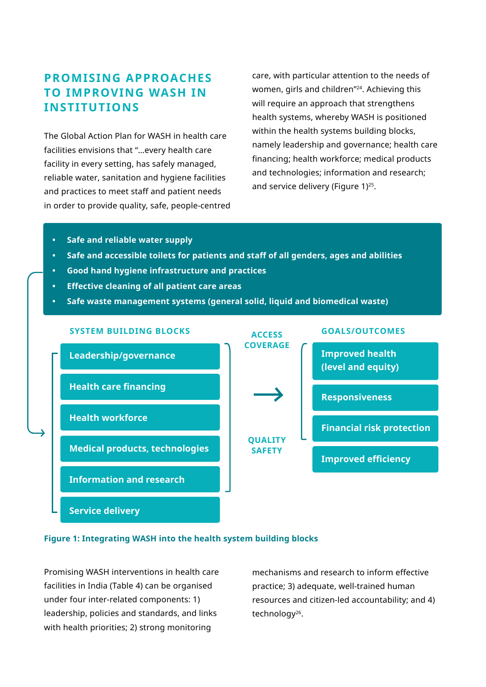# **PROMISING APPROACHES TO IMPROVING WASH IN INSTITUTIONS**

The Global Action Plan for WASH in health care facilities envisions that "…every health care facility in every setting, has safely managed, reliable water, sanitation and hygiene facilities and practices to meet staff and patient needs in order to provide quality, safe, people-centred care, with particular attention to the needs of women, girls and children"24. Achieving this will require an approach that strengthens health systems, whereby WASH is positioned within the health systems building blocks, namely leadership and governance; health care financing; health workforce; medical products and technologies; information and research; and service delivery (Figure 1)<sup>25</sup>.

- **• Safe and reliable water supply**
- **• Safe and accessible toilets for patients and staff of all genders, ages and abilities**
- **• Good hand hygiene infrastructure and practices**
- **• Effective cleaning of all patient care areas**
- **• Safe waste management systems (general solid, liquid and biomedical waste)**



#### **Figure 1: Integrating WASH into the health system building blocks**

Promising WASH interventions in health care facilities in India (Table 4) can be organised under four inter-related components: 1) leadership, policies and standards, and links with health priorities; 2) strong monitoring

mechanisms and research to inform effective practice; 3) adequate, well-trained human resources and citizen-led accountability; and 4) technology<sup>26</sup>.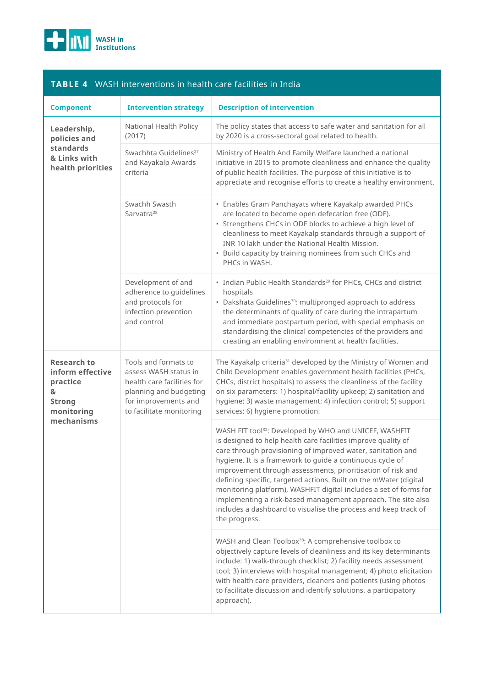

| <b>TABLE 4</b> WASH interventions in health care facilities in India                                 |                                                                                                                                                           |                                                                                                                                                                                                                                                                                                                                                                                                                        |
|------------------------------------------------------------------------------------------------------|-----------------------------------------------------------------------------------------------------------------------------------------------------------|------------------------------------------------------------------------------------------------------------------------------------------------------------------------------------------------------------------------------------------------------------------------------------------------------------------------------------------------------------------------------------------------------------------------|
| <b>Component</b>                                                                                     | <b>Intervention strategy</b>                                                                                                                              | <b>Description of intervention</b>                                                                                                                                                                                                                                                                                                                                                                                     |
| Leadership,<br>policies and<br>standards<br>& Links with<br>health priorities                        | National Health Policy<br>(2017)                                                                                                                          | The policy states that access to safe water and sanitation for all<br>by 2020 is a cross-sectoral goal related to health.                                                                                                                                                                                                                                                                                              |
|                                                                                                      | Swachhta Guidelines <sup>27</sup><br>and Kayakalp Awards<br>criteria                                                                                      | Ministry of Health And Family Welfare launched a national<br>initiative in 2015 to promote cleanliness and enhance the quality<br>of public health facilities. The purpose of this initiative is to<br>appreciate and recognise efforts to create a healthy environment.                                                                                                                                               |
|                                                                                                      | Swachh Swasth<br>Sarvatra <sup>28</sup>                                                                                                                   | • Enables Gram Panchayats where Kayakalp awarded PHCs<br>are located to become open defecation free (ODF).<br>• Strengthens CHCs in ODF blocks to achieve a high level of<br>cleanliness to meet Kayakalp standards through a support of<br>INR 10 lakh under the National Health Mission.<br>• Build capacity by training nominees from such CHCs and<br>PHCs in WASH.                                                |
|                                                                                                      | Development of and<br>adherence to quidelines<br>and protocols for<br>infection prevention<br>and control                                                 | • Indian Public Health Standards <sup>29</sup> for PHCs, CHCs and district<br>hospitals<br>• Dakshata Guidelines <sup>30</sup> : multipronged approach to address<br>the determinants of quality of care during the intrapartum<br>and immediate postpartum period, with special emphasis on<br>standardising the clinical competencies of the providers and<br>creating an enabling environment at health facilities. |
| <b>Research to</b><br>inform effective<br>practice<br>&<br><b>Strong</b><br>monitoring<br>mechanisms | Tools and formats to<br>assess WASH status in<br>health care facilities for<br>planning and budgeting<br>for improvements and<br>to facilitate monitoring | The Kayakalp criteria <sup>31</sup> developed by the Ministry of Women and<br>Child Development enables government health facilities (PHCs,<br>CHCs, district hospitals) to assess the cleanliness of the facility<br>on six parameters: 1) hospital/facility upkeep; 2) sanitation and<br>hygiene; 3) waste management; 4) infection control; 5) support<br>services; 6) hygiene promotion.                           |
|                                                                                                      |                                                                                                                                                           | WASH FIT tool <sup>32</sup> : Developed by WHO and UNICEF, WASHFIT<br>the contract of the contract of the contract of the contract of the contract of the contract of the contract of                                                                                                                                                                                                                                  |

#### is designed to help health care facilities improve quality of care through provisioning of improved water, sanitation and hygiene. It is a framework to guide a continuous cycle of improvement through assessments, prioritisation of risk and defining specific, targeted actions. Built on the mWater (digital monitoring platform), WASHFIT digital includes a set of forms for implementing a risk-based management approach. The site also includes a dashboard to visualise the process and keep track of the progress.

WASH and Clean Toolbox<sup>33</sup>: A comprehensive toolbox to objectively capture levels of cleanliness and its key determinants include: 1) walk-through checklist; 2) facility needs assessment tool; 3) interviews with hospital management; 4) photo elicitation with health care providers, cleaners and patients (using photos to facilitate discussion and identify solutions, a participatory approach).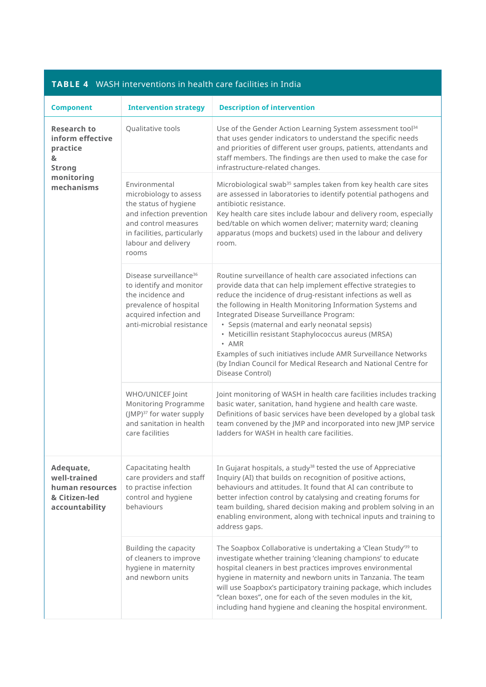|                                                                                                      | <b>TABLE 4</b> WASH INTERVENTIONS IN NEARTY CAFE FACILITIES IN INGR                                                                                                                 |                                                                                                                                                                                                                                                                                                                                                                                                                                                                                                                                                                                   |
|------------------------------------------------------------------------------------------------------|-------------------------------------------------------------------------------------------------------------------------------------------------------------------------------------|-----------------------------------------------------------------------------------------------------------------------------------------------------------------------------------------------------------------------------------------------------------------------------------------------------------------------------------------------------------------------------------------------------------------------------------------------------------------------------------------------------------------------------------------------------------------------------------|
| <b>Component</b>                                                                                     | <b>Intervention strategy</b>                                                                                                                                                        | <b>Description of intervention</b>                                                                                                                                                                                                                                                                                                                                                                                                                                                                                                                                                |
| <b>Research to</b><br>inform effective<br>practice<br>&<br><b>Strong</b><br>monitoring<br>mechanisms | Qualitative tools                                                                                                                                                                   | Use of the Gender Action Learning System assessment tool <sup>34</sup><br>that uses gender indicators to understand the specific needs<br>and priorities of different user groups, patients, attendants and<br>staff members. The findings are then used to make the case for<br>infrastructure-related changes.                                                                                                                                                                                                                                                                  |
|                                                                                                      | Environmental<br>microbiology to assess<br>the status of hygiene<br>and infection prevention<br>and control measures<br>in facilities, particularly<br>labour and delivery<br>rooms | Microbiological swab <sup>35</sup> samples taken from key health care sites<br>are assessed in laboratories to identify potential pathogens and<br>antibiotic resistance.<br>Key health care sites include labour and delivery room, especially<br>bed/table on which women deliver; maternity ward; cleaning<br>apparatus (mops and buckets) used in the labour and delivery<br>room.                                                                                                                                                                                            |
|                                                                                                      | Disease surveillance <sup>36</sup><br>to identify and monitor<br>the incidence and<br>prevalence of hospital<br>acquired infection and<br>anti-microbial resistance                 | Routine surveillance of health care associated infections can<br>provide data that can help implement effective strategies to<br>reduce the incidence of drug-resistant infections as well as<br>the following in Health Monitoring Information Systems and<br>Integrated Disease Surveillance Program:<br>• Sepsis (maternal and early neonatal sepsis)<br>• Meticillin resistant Staphylococcus aureus (MRSA)<br>• AMR<br>Examples of such initiatives include AMR Surveillance Networks<br>(by Indian Council for Medical Research and National Centre for<br>Disease Control) |
|                                                                                                      | WHO/UNICEF Joint<br>Monitoring Programme<br>(JMP) <sup>37</sup> for water supply<br>and sanitation in health<br>care facilities                                                     | Joint monitoring of WASH in health care facilities includes tracking<br>basic water, sanitation, hand hygiene and health care waste.<br>Definitions of basic services have been developed by a global task<br>team convened by the JMP and incorporated into new JMP service<br>ladders for WASH in health care facilities.                                                                                                                                                                                                                                                       |
| Adequate,<br>well-trained<br>human resources<br>& Citizen-led<br>accountability                      | Capacitating health<br>care providers and staff<br>to practise infection<br>control and hygiene<br>behaviours                                                                       | In Gujarat hospitals, a study <sup>38</sup> tested the use of Appreciative<br>Inquiry (AI) that builds on recognition of positive actions,<br>behaviours and attitudes. It found that AI can contribute to<br>better infection control by catalysing and creating forums for<br>team building, shared decision making and problem solving in an<br>enabling environment, along with technical inputs and training to<br>address gaps.                                                                                                                                             |
|                                                                                                      | Building the capacity<br>of cleaners to improve<br>hygiene in maternity<br>and newborn units                                                                                        | The Soapbox Collaborative is undertaking a 'Clean Study'39 to<br>investigate whether training 'cleaning champions' to educate<br>hospital cleaners in best practices improves environmental<br>hygiene in maternity and newborn units in Tanzania. The team<br>will use Soapbox's participatory training package, which includes<br>"clean boxes", one for each of the seven modules in the kit,<br>including hand hygiene and cleaning the hospital environment.                                                                                                                 |

#### **TABLE 4** WASH interventions in health care facilities in India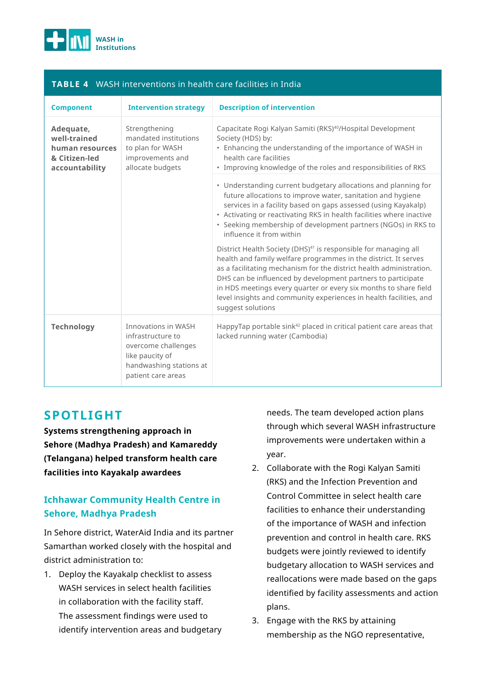

### **TABLE 4** WASH interventions in health care facilities in India

| <b>Component</b>                                                                | <b>Intervention strategy</b>                                                                                                               | <b>Description of intervention</b>                                                                                                                                                                                                                                                                                                                                                                                                                   |
|---------------------------------------------------------------------------------|--------------------------------------------------------------------------------------------------------------------------------------------|------------------------------------------------------------------------------------------------------------------------------------------------------------------------------------------------------------------------------------------------------------------------------------------------------------------------------------------------------------------------------------------------------------------------------------------------------|
| Adequate,<br>well-trained<br>human resources<br>& Citizen-led<br>accountability | Strengthening<br>mandated institutions<br>to plan for WASH<br>improvements and<br>allocate budgets                                         | Capacitate Rogi Kalyan Samiti (RKS) <sup>40</sup> /Hospital Development<br>Society (HDS) by:<br>• Enhancing the understanding of the importance of WASH in<br>health care facilities<br>• Improving knowledge of the roles and responsibilities of RKS                                                                                                                                                                                               |
|                                                                                 |                                                                                                                                            | • Understanding current budgetary allocations and planning for<br>future allocations to improve water, sanitation and hygiene<br>services in a facility based on gaps assessed (using Kayakalp)<br>• Activating or reactivating RKS in health facilities where inactive<br>· Seeking membership of development partners (NGOs) in RKS to<br>influence it from within                                                                                 |
|                                                                                 |                                                                                                                                            | District Health Society (DHS) <sup>41</sup> is responsible for managing all<br>health and family welfare programmes in the district. It serves<br>as a facilitating mechanism for the district health administration.<br>DHS can be influenced by development partners to participate<br>in HDS meetings every quarter or every six months to share field<br>level insights and community experiences in health facilities, and<br>suggest solutions |
| <b>Technology</b>                                                               | <b>Innovations in WASH</b><br>infrastructure to<br>overcome challenges<br>like paucity of<br>handwashing stations at<br>patient care areas | HappyTap portable sink <sup>42</sup> placed in critical patient care areas that<br>lacked running water (Cambodia)                                                                                                                                                                                                                                                                                                                                   |

## **SPOTLIGHT**

**Systems strengthening approach in Sehore (Madhya Pradesh) and Kamareddy (Telangana) helped transform health care facilities into Kayakalp awardees**

## **Ichhawar Community Health Centre in Sehore, Madhya Pradesh**

In Sehore district, WaterAid India and its partner Samarthan worked closely with the hospital and district administration to:

1. Deploy the Kayakalp checklist to assess WASH services in select health facilities in collaboration with the facility staff. The assessment findings were used to identify intervention areas and budgetary needs. The team developed action plans through which several WASH infrastructure improvements were undertaken within a year.

- 2. Collaborate with the Rogi Kalyan Samiti (RKS) and the Infection Prevention and Control Committee in select health care facilities to enhance their understanding of the importance of WASH and infection prevention and control in health care. RKS budgets were jointly reviewed to identify budgetary allocation to WASH services and reallocations were made based on the gaps identified by facility assessments and action plans.
- 3. Engage with the RKS by attaining membership as the NGO representative,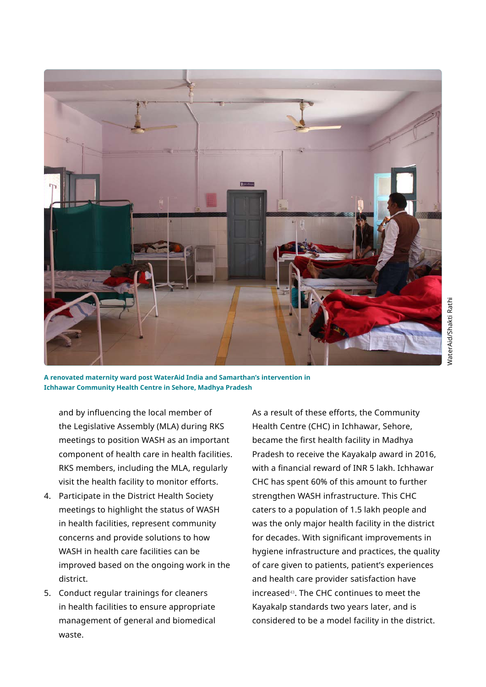

NaterAid/Shakti Rathi WaterAid/Shakti Rathi

**A renovated maternity ward post WaterAid India and Samarthan's intervention in Ichhawar Community Health Centre in Sehore, Madhya Pradesh**

and by influencing the local member of the Legislative Assembly (MLA) during RKS meetings to position WASH as an important component of health care in health facilities. RKS members, including the MLA, regularly visit the health facility to monitor efforts.

- 4. Participate in the District Health Society meetings to highlight the status of WASH in health facilities, represent community concerns and provide solutions to how WASH in health care facilities can be improved based on the ongoing work in the district.
- 5. Conduct regular trainings for cleaners in health facilities to ensure appropriate management of general and biomedical waste.

As a result of these efforts, the Community Health Centre (CHC) in Ichhawar, Sehore, became the first health facility in Madhya Pradesh to receive the Kayakalp award in 2016, with a financial reward of INR 5 lakh. Ichhawar CHC has spent 60% of this amount to further strengthen WASH infrastructure. This CHC caters to a population of 1.5 lakh people and was the only major health facility in the district for decades. With significant improvements in hygiene infrastructure and practices, the quality of care given to patients, patient's experiences and health care provider satisfaction have increased43. The CHC continues to meet the Kayakalp standards two years later, and is considered to be a model facility in the district.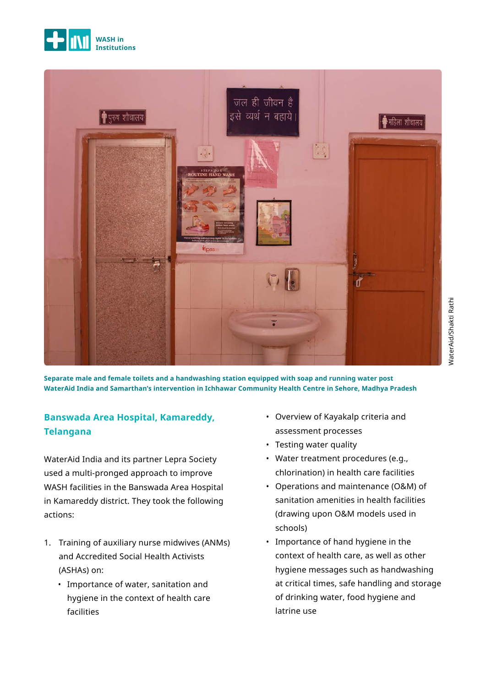



**Separate male and female toilets and a handwashing station equipped with soap and running water post WaterAid India and Samarthan's intervention in Ichhawar Community Health Centre in Sehore, Madhya Pradesh**

## **Banswada Area Hospital, Kamareddy, Telangana**

WaterAid India and its partner Lepra Society used a multi-pronged approach to improve WASH facilities in the Banswada Area Hospital in Kamareddy district. They took the following actions:

- 1. Training of auxiliary nurse midwives (ANMs) and Accredited Social Health Activists (ASHAs) on:
	- Importance of water, sanitation and hygiene in the context of health care facilities
- Overview of Kayakalp criteria and assessment processes
- Testing water quality
- Water treatment procedures (e.g., chlorination) in health care facilities
- Operations and maintenance (O&M) of sanitation amenities in health facilities (drawing upon O&M models used in schools)
- Importance of hand hygiene in the context of health care, as well as other hygiene messages such as handwashing at critical times, safe handling and storage of drinking water, food hygiene and latrine use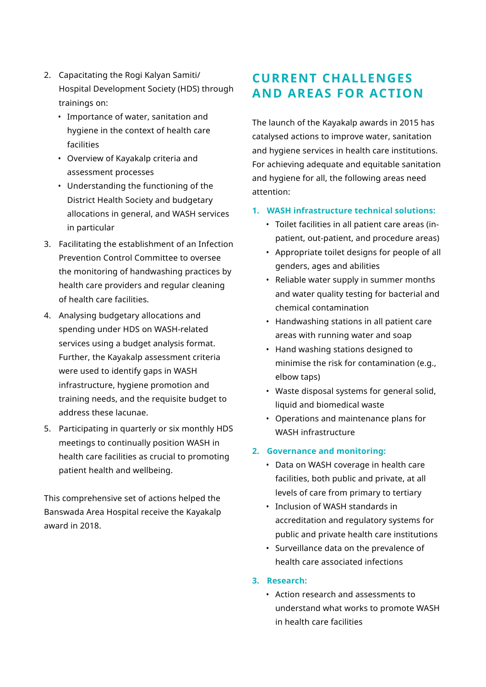- 2. Capacitating the Rogi Kalyan Samiti/ Hospital Development Society (HDS) through trainings on:
	- Importance of water, sanitation and hygiene in the context of health care facilities
	- Overview of Kayakalp criteria and assessment processes
	- Understanding the functioning of the District Health Society and budgetary allocations in general, and WASH services in particular
- 3. Facilitating the establishment of an Infection Prevention Control Committee to oversee the monitoring of handwashing practices by health care providers and regular cleaning of health care facilities.
- 4. Analysing budgetary allocations and spending under HDS on WASH-related services using a budget analysis format. Further, the Kayakalp assessment criteria were used to identify gaps in WASH infrastructure, hygiene promotion and training needs, and the requisite budget to address these lacunae.
- 5. Participating in quarterly or six monthly HDS meetings to continually position WASH in health care facilities as crucial to promoting patient health and wellbeing.

This comprehensive set of actions helped the Banswada Area Hospital receive the Kayakalp award in 2018.

# **CURRENT CHALLENGES AND AREAS FOR ACTION**

The launch of the Kayakalp awards in 2015 has catalysed actions to improve water, sanitation and hygiene services in health care institutions. For achieving adequate and equitable sanitation and hygiene for all, the following areas need attention:

### **1. WASH infrastructure technical solutions:**

- Toilet facilities in all patient care areas (inpatient, out-patient, and procedure areas)
- Appropriate toilet designs for people of all genders, ages and abilities
- Reliable water supply in summer months and water quality testing for bacterial and chemical contamination
- Handwashing stations in all patient care areas with running water and soap
- Hand washing stations designed to minimise the risk for contamination (e.g., elbow taps)
- Waste disposal systems for general solid, liquid and biomedical waste
- Operations and maintenance plans for WASH infrastructure

### **2. Governance and monitoring:**

- Data on WASH coverage in health care facilities, both public and private, at all levels of care from primary to tertiary
- Inclusion of WASH standards in accreditation and regulatory systems for public and private health care institutions
- Surveillance data on the prevalence of health care associated infections
- **3. Research:**
	- Action research and assessments to understand what works to promote WASH in health care facilities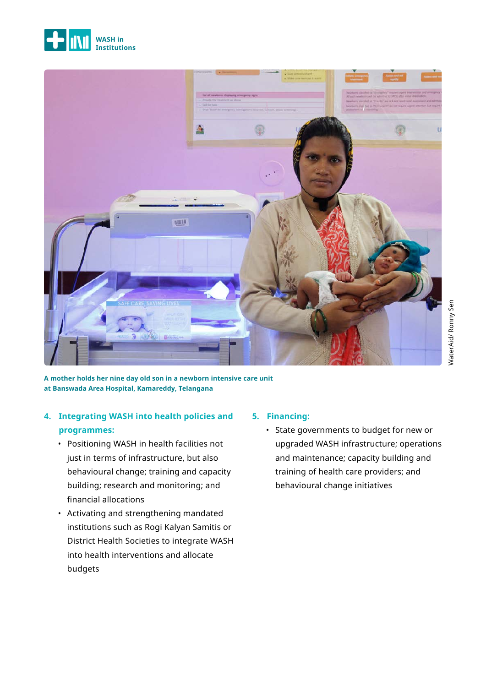



**A mother holds her nine day old son in a newborn intensive care unit at Banswada Area Hospital, Kamareddy, Telangana**

## **4. Integrating WASH into health policies and programmes:**

- Positioning WASH in health facilities not just in terms of infrastructure, but also behavioural change; training and capacity building; research and monitoring; and financial allocations
- Activating and strengthening mandated institutions such as Rogi Kalyan Samitis or District Health Societies to integrate WASH into health interventions and allocate budgets

### **5. Financing:**

• State governments to budget for new or upgraded WASH infrastructure; operations and maintenance; capacity building and training of health care providers; and behavioural change initiatives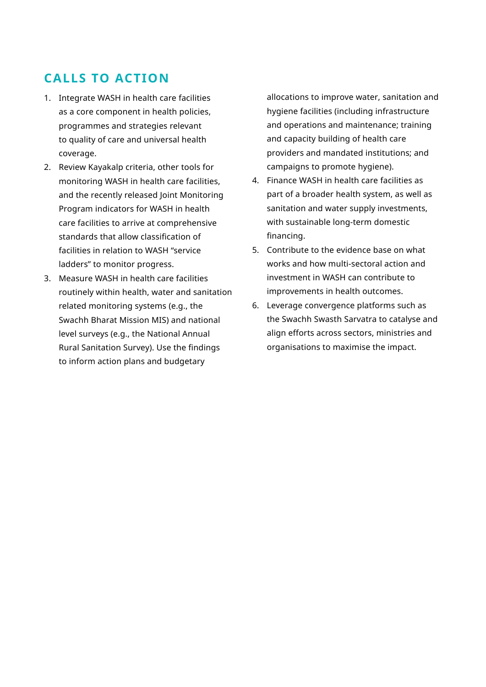# **CALLS TO ACTION**

- 1. Integrate WASH in health care facilities as a core component in health policies, programmes and strategies relevant to quality of care and universal health coverage.
- 2. Review Kayakalp criteria, other tools for monitoring WASH in health care facilities, and the recently released Joint Monitoring Program indicators for WASH in health care facilities to arrive at comprehensive standards that allow classification of facilities in relation to WASH "service ladders" to monitor progress.
- 3. Measure WASH in health care facilities routinely within health, water and sanitation related monitoring systems (e.g., the Swachh Bharat Mission MIS) and national level surveys (e.g., the National Annual Rural Sanitation Survey). Use the findings to inform action plans and budgetary

allocations to improve water, sanitation and hygiene facilities (including infrastructure and operations and maintenance; training and capacity building of health care providers and mandated institutions; and campaigns to promote hygiene).

- 4. Finance WASH in health care facilities as part of a broader health system, as well as sanitation and water supply investments, with sustainable long-term domestic financing.
- 5. Contribute to the evidence base on what works and how multi-sectoral action and investment in WASH can contribute to improvements in health outcomes.
- 6. Leverage convergence platforms such as the Swachh Swasth Sarvatra to catalyse and align efforts across sectors, ministries and organisations to maximise the impact.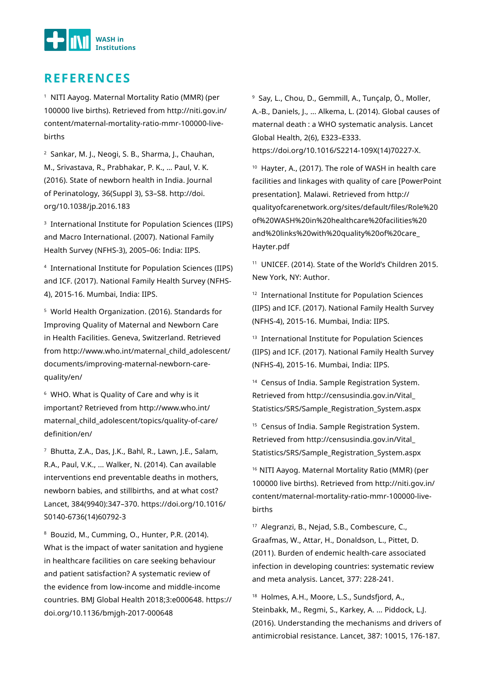

## **REFERENCES**

<sup>1</sup> NITI Aayog. Maternal Mortality Ratio (MMR) (per 100000 live births). Retrieved from http://niti.gov.in/ content/maternal-mortality-ratio-mmr-100000-livebirths

2 Sankar, M. J., Neogi, S. B., Sharma, J., Chauhan, M., Srivastava, R., Prabhakar, P. K., … Paul, V. K. (2016). State of newborn health in India. Journal of Perinatology, 36(Suppl 3), S3–S8. http://doi. org/10.1038/jp.2016.183

3 International Institute for Population Sciences (IIPS) and Macro International. (2007). National Family Health Survey (NFHS-3), 2005–06: India: IIPS.

4 International Institute for Population Sciences (IIPS) and ICF. (2017). National Family Health Survey (NFHS-4), 2015-16. Mumbai, India: IIPS.

5 World Health Organization. (2016). Standards for Improving Quality of Maternal and Newborn Care in Health Facilities. Geneva, Switzerland. Retrieved from http://www.who.int/maternal\_child\_adolescent/ documents/improving-maternal-newborn-carequality/en/

6 WHO. What is Quality of Care and why is it important? Retrieved from http://www.who.int/ maternal\_child\_adolescent/topics/quality-of-care/ definition/en/

7 Bhutta, Z.A., Das, J.K., Bahl, R., Lawn, J.E., Salam, R.A., Paul, V.K., ... Walker, N. (2014). Can available interventions end preventable deaths in mothers, newborn babies, and stillbirths, and at what cost? Lancet, 384(9940):347–370. https://doi.org/10.1016/ S0140-6736(14)60792-3

8 Bouzid, M., Cumming, O., Hunter, P.R. (2014). What is the impact of water sanitation and hygiene in healthcare facilities on care seeking behaviour and patient satisfaction? A systematic review of the evidence from low-income and middle-income countries. BMJ Global Health 2018;3:e000648. https:// doi.org/10.1136/bmjgh-2017-000648

9 Say, L., Chou, D., Gemmill, A., Tunçalp, Ö., Moller, A.-B., Daniels, J., ... Alkema, L. (2014). Global causes of maternal death : a WHO systematic analysis. Lancet Global Health, 2(6), E323–E333. https://doi.org/10.1016/S2214-109X(14)70227-X.

10 Hayter, A., (2017). The role of WASH in health care facilities and linkages with quality of care [PowerPoint presentation]. Malawi. Retrieved from http:// qualityofcarenetwork.org/sites/default/files/Role%20 of%20WASH%20in%20healthcare%20facilities%20 and%20links%20with%20quality%20of%20care\_ Hayter.pdf

11 UNICEF. (2014). State of the World's Children 2015. New York, NY: Author.

12 International Institute for Population Sciences (IIPS) and ICF. (2017). National Family Health Survey (NFHS-4), 2015-16. Mumbai, India: IIPS.

<sup>13</sup> International Institute for Population Sciences (IIPS) and ICF. (2017). National Family Health Survey (NFHS-4), 2015-16. Mumbai, India: IIPS.

<sup>14</sup> Census of India. Sample Registration System. Retrieved from http://censusindia.gov.in/Vital\_ Statistics/SRS/Sample\_Registration\_System.aspx

<sup>15</sup> Census of India. Sample Registration System. Retrieved from http://censusindia.gov.in/Vital\_ Statistics/SRS/Sample\_Registration\_System.aspx

16 NITI Aayog. Maternal Mortality Ratio (MMR) (per 100000 live births). Retrieved from http://niti.gov.in/ content/maternal-mortality-ratio-mmr-100000-livebirths

17 Alegranzi, B., Nejad, S.B., Combescure, C., Graafmas, W., Attar, H., Donaldson, L., Pittet, D. (2011). Burden of endemic health-care associated infection in developing countries: systematic review and meta analysis. Lancet, 377: 228-241.

<sup>18</sup> Holmes, A.H., Moore, L.S., Sundsfiord, A., Steinbakk, M., Regmi, S., Karkey, A. ... Piddock, L.J. (2016). Understanding the mechanisms and drivers of antimicrobial resistance. Lancet, 387: 10015, 176-187.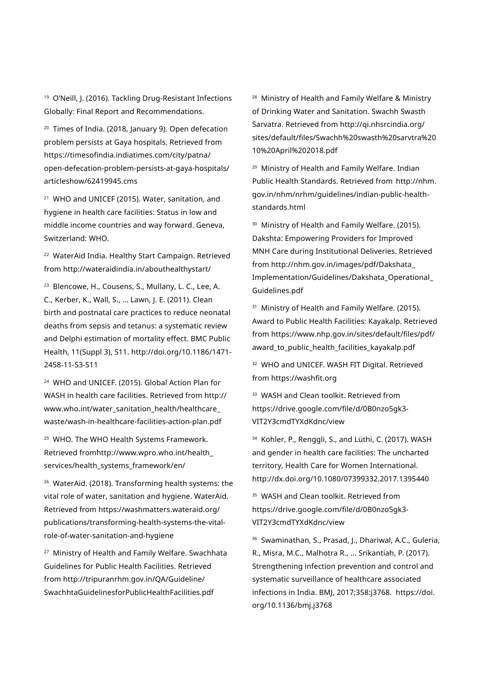19 O'Neill, J. (2016). Tackling Drug-Resistant Infections Globally: Final Report and Recommendations.

20 Times of India. (2018, January 9). Open defecation problem persists at Gaya hospitals. Retrieved from https://timesofindia.indiatimes.com/city/patna/ open-defecation-problem-persists-at-gaya-hospitals/ articleshow/62419945.cms

<sup>21</sup> WHO and UNICEF (2015). Water, sanitation, and hygiene in health care facilities: Status in low and middle income countries and way forward. Geneva, Switzerland: WHO.

22 WaterAid India. Healthy Start Campaign. Retrieved from http://wateraidindia.in/abouthealthystart/

23 Blencowe, H., Cousens, S., Mullany, L. C., Lee, A. C., Kerber, K., Wall, S., … Lawn, J. E. (2011). Clean birth and postnatal care practices to reduce neonatal deaths from sepsis and tetanus: a systematic review and Delphi estimation of mortality effect. BMC Public Health, 11(Suppl 3), S11. http://doi.org/10.1186/1471- 2458-11-S3-S11

24 WHO and UNICEF. (2015). Global Action Plan for WASH in health care facilities. Retrieved from http:// www.who.int/water\_sanitation\_health/healthcare\_ waste/wash-in-healthcare-facilities-action-plan.pdf

<sup>25</sup> WHO. The WHO Health Systems Framework. Retrieved fromhttp://www.wpro.who.int/health\_ services/health\_systems\_framework/en/

26 WaterAid. (2018). Transforming health systems: the vital role of water, sanitation and hygiene. WaterAid. Retrieved from https://washmatters.wateraid.org/ publications/transforming-health-systems-the-vitalrole-of-water-sanitation-and-hygiene

27 Ministry of Health and Family Welfare. Swachhata Guidelines for Public Health Facilities. Retrieved from http://tripuranrhm.gov.in/QA/Guideline/ SwachhtaGuidelinesforPublicHealthFacilities.pdf

28 Ministry of Health and Family Welfare & Ministry of Drinking Water and Sanitation. Swachh Swasth Sarvatra. Retrieved from http://qi.nhsrcindia.org/ sites/default/files/Swachh%20swasth%20sarvtra%20 10%20April%202018.pdf

29 Ministry of Health and Family Welfare. Indian Public Health Standards. Retrieved from http://nhm. gov.in/nhm/nrhm/guidelines/indian-public-healthstandards.html

<sup>30</sup> Ministry of Health and Family Welfare. (2015). Dakshta: Empowering Providers for Improved MNH Care during Institutional Deliveries. Retrieved from http://nhm.gov.in/images/pdf/Dakshata\_ Implementation/Guidelines/Dakshata\_Operational\_ Guidelines.pdf

<sup>31</sup> Ministry of Health and Family Welfare. (2015). Award to Public Health Facilities: Kayakalp. Retrieved from https://www.nhp.gov.in/sites/default/files/pdf/ award\_to\_public\_health\_facilities\_kayakalp.pdf

32 WHO and UNICEF. WASH FIT Digital. Retrieved from https://washfit.org

<sup>33</sup> WASH and Clean toolkit. Retrieved from https://drive.google.com/file/d/0B0nzo5gk3- VIT2Y3cmdTYXdKdnc/view

<sup>34</sup> Kohler, P., Renggli, S., and Lüthi, C. (2017). WASH and gender in health care facilities: The uncharted territory, Health Care for Women International. http://dx.doi.org/10.1080/07399332.2017.1395440

<sup>35</sup> WASH and Clean toolkit. Retrieved from https://drive.google.com/file/d/0B0nzo5gk3- VIT2Y3cmdTYXdKdnc/view

36 Swaminathan, S., Prasad, J., Dhariwal, A.C., Guleria, R., Misra, M.C., Malhotra R., ... Srikantiah, P. (2017). Strengthening infection prevention and control and systematic surveillance of healthcare associated infections in India. BMJ, 2017;358:j3768. https://doi. org/10.1136/bmj.j3768